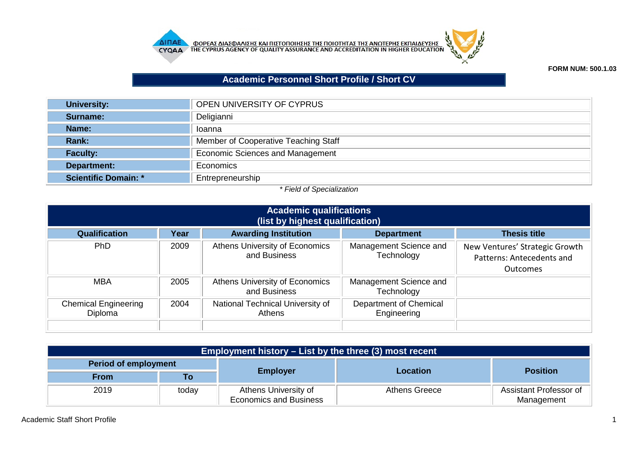



## **FORM NUM: 500.1.03**

## **Academic Personnel Short Profile / Short CV**

| <b>University:</b>          | OPEN UNIVERSITY OF CYPRUS               |
|-----------------------------|-----------------------------------------|
| Surname:                    | Deligianni                              |
| Name:                       | Ioanna                                  |
| Rank:                       | Member of Cooperative Teaching Staff    |
| <b>Faculty:</b>             | <b>Economic Sciences and Management</b> |
| Department:                 | Economics                               |
| <b>Scientific Domain: *</b> | Entrepreneurship                        |

## *\* Field of Specialization*

| <b>Academic qualifications</b><br>(list by highest qualification) |      |                                                |                                       |                                                                         |  |
|-------------------------------------------------------------------|------|------------------------------------------------|---------------------------------------|-------------------------------------------------------------------------|--|
| <b>Qualification</b>                                              | Year | <b>Awarding Institution</b>                    | <b>Department</b>                     | <b>Thesis title</b>                                                     |  |
| PhD                                                               | 2009 | Athens University of Economics<br>and Business | Management Science and<br>Technology  | New Ventures' Strategic Growth<br>Patterns: Antecedents and<br>Outcomes |  |
| MBA                                                               | 2005 | Athens University of Economics<br>and Business | Management Science and<br>Technology  |                                                                         |  |
| <b>Chemical Engineering</b><br>Diploma                            | 2004 | National Technical University of<br>Athens     | Department of Chemical<br>Engineering |                                                                         |  |

| Employment history $-$ List by the three (3) most recent |       |                                                       |               |                                      |  |
|----------------------------------------------------------|-------|-------------------------------------------------------|---------------|--------------------------------------|--|
| Period of employment                                     |       |                                                       |               |                                      |  |
| <b>From</b>                                              | Τo    | <b>Employer</b>                                       | Location      | <b>Position</b>                      |  |
| 2019                                                     | today | Athens University of<br><b>Economics and Business</b> | Athens Greece | Assistant Professor of<br>Management |  |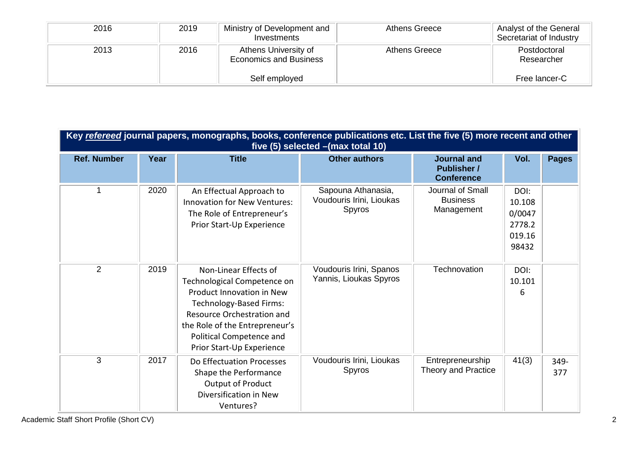| 2016 | 2019 | Ministry of Development and<br>Investments            | Athens Greece | Analyst of the General<br>Secretariat of Industry |
|------|------|-------------------------------------------------------|---------------|---------------------------------------------------|
| 2013 | 2016 | Athens University of<br><b>Economics and Business</b> | Athens Greece | Postdoctoral<br>Researcher                        |
|      |      | Self employed                                         |               | Free lancer-C                                     |

| Key refereed journal papers, monographs, books, conference publications etc. List the five (5) more recent and other<br>five (5) selected - (max total 10) |      |                                                                                                                                                                                                                                              |                                                          |                                                               |                                                       |              |  |
|------------------------------------------------------------------------------------------------------------------------------------------------------------|------|----------------------------------------------------------------------------------------------------------------------------------------------------------------------------------------------------------------------------------------------|----------------------------------------------------------|---------------------------------------------------------------|-------------------------------------------------------|--------------|--|
| <b>Ref. Number</b>                                                                                                                                         | Year | <b>Title</b>                                                                                                                                                                                                                                 | <b>Other authors</b>                                     | <b>Journal and</b><br><b>Publisher /</b><br><b>Conference</b> | Vol.                                                  | <b>Pages</b> |  |
| 1                                                                                                                                                          | 2020 | An Effectual Approach to<br><b>Innovation for New Ventures:</b><br>The Role of Entrepreneur's<br>Prior Start-Up Experience                                                                                                                   | Sapouna Athanasia,<br>Voudouris Irini, Lioukas<br>Spyros | Journal of Small<br><b>Business</b><br>Management             | DOI:<br>10.108<br>0/0047<br>2778.2<br>019.16<br>98432 |              |  |
| 2                                                                                                                                                          | 2019 | Non-Linear Effects of<br>Technological Competence on<br>Product Innovation in New<br><b>Technology-Based Firms:</b><br>Resource Orchestration and<br>the Role of the Entrepreneur's<br>Political Competence and<br>Prior Start-Up Experience | Voudouris Irini, Spanos<br>Yannis, Lioukas Spyros        | Technovation                                                  | DOI:<br>10.101<br>6                                   |              |  |
| 3                                                                                                                                                          | 2017 | Do Effectuation Processes<br>Shape the Performance<br>Output of Product<br>Diversification in New<br>Ventures?                                                                                                                               | Voudouris Irini, Lioukas<br>Spyros                       | Entrepreneurship<br>Theory and Practice                       | 41(3)                                                 | 349-<br>377  |  |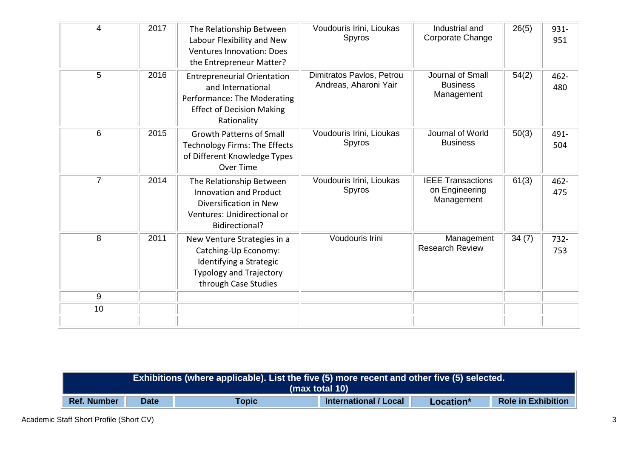| 4              | 2017 | The Relationship Between<br>Labour Flexibility and New<br><b>Ventures Innovation: Does</b><br>the Entrepreneur Matter?                    | Voudouris Irini, Lioukas<br>Spyros                 | Industrial and<br>Corporate Change                       | 26(5) | 931-<br>951    |
|----------------|------|-------------------------------------------------------------------------------------------------------------------------------------------|----------------------------------------------------|----------------------------------------------------------|-------|----------------|
| 5              | 2016 | <b>Entrepreneurial Orientation</b><br>and International<br>Performance: The Moderating<br><b>Effect of Decision Making</b><br>Rationality | Dimitratos Pavlos, Petrou<br>Andreas, Aharoni Yair | Journal of Small<br><b>Business</b><br>Management        | 54(2) | $462 -$<br>480 |
| 6              | 2015 | <b>Growth Patterns of Small</b><br><b>Technology Firms: The Effects</b><br>of Different Knowledge Types<br>Over Time                      | Voudouris Irini, Lioukas<br>Spyros                 | Journal of World<br><b>Business</b>                      | 50(3) | 491-<br>504    |
| $\overline{7}$ | 2014 | The Relationship Between<br><b>Innovation and Product</b><br>Diversification in New<br>Ventures: Unidirectional or<br>Bidirectional?      | Voudouris Irini, Lioukas<br>Spyros                 | <b>IEEE Transactions</b><br>on Engineering<br>Management | 61(3) | $462 -$<br>475 |
| 8              | 2011 | New Venture Strategies in a<br>Catching-Up Economy:<br>Identifying a Strategic<br><b>Typology and Trajectory</b><br>through Case Studies  | Voudouris Irini                                    | Management<br><b>Research Review</b>                     | 34(7) | 732-<br>753    |
| 9              |      |                                                                                                                                           |                                                    |                                                          |       |                |
| 10             |      |                                                                                                                                           |                                                    |                                                          |       |                |
|                |      |                                                                                                                                           |                                                    |                                                          |       |                |

| Exhibitions (where applicable). List the five (5) more recent and o <u>ther five (5) selected.</u> <sup> </sup><br>(max total 10) |  |  |  |  |  |
|-----------------------------------------------------------------------------------------------------------------------------------|--|--|--|--|--|
| <b>Role in Exhibition</b><br><b>Ref. Number</b><br><b>International / Local</b><br><b>Topic</b><br><b>Date</b><br>Location*       |  |  |  |  |  |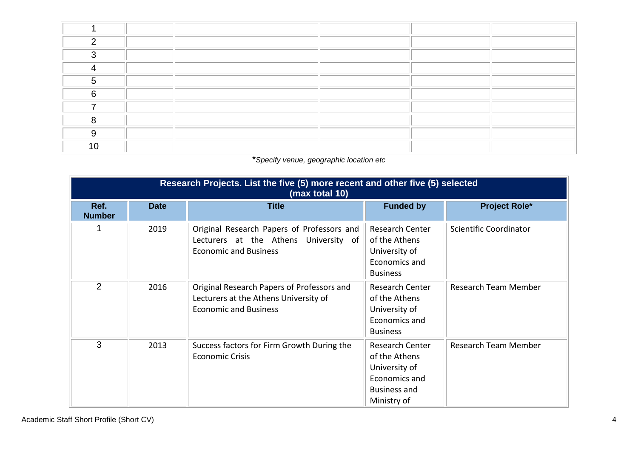| ⌒      |  |  |  |
|--------|--|--|--|
| ົ      |  |  |  |
|        |  |  |  |
|        |  |  |  |
| $\sim$ |  |  |  |
|        |  |  |  |
|        |  |  |  |
|        |  |  |  |
| 1 N    |  |  |  |

## \**Specify venue, geographic location etc*

| Research Projects. List the five (5) more recent and other five (5) selected<br>(max total 10) |             |                                                                                                                     |                                                                                                          |                        |  |  |
|------------------------------------------------------------------------------------------------|-------------|---------------------------------------------------------------------------------------------------------------------|----------------------------------------------------------------------------------------------------------|------------------------|--|--|
| Ref.<br><b>Number</b>                                                                          | <b>Date</b> | <b>Title</b>                                                                                                        | <b>Funded by</b>                                                                                         | <b>Project Role*</b>   |  |  |
|                                                                                                | 2019        | Original Research Papers of Professors and<br>Lecturers at the Athens University of<br><b>Economic and Business</b> | <b>Research Center</b><br>of the Athens<br>University of<br>Economics and<br><b>Business</b>             | Scientific Coordinator |  |  |
| 2                                                                                              | 2016        | Original Research Papers of Professors and<br>Lecturers at the Athens University of<br><b>Economic and Business</b> | Research Center<br>of the Athens<br>University of<br>Economics and<br><b>Business</b>                    | Research Team Member   |  |  |
| 3                                                                                              | 2013        | Success factors for Firm Growth During the<br><b>Economic Crisis</b>                                                | Research Center<br>of the Athens<br>University of<br>Economics and<br><b>Business and</b><br>Ministry of | Research Team Member   |  |  |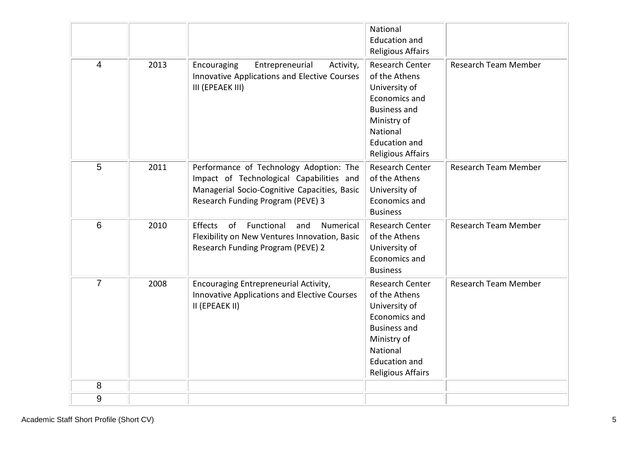|                 |      |                                                                                                                                                                          | National<br><b>Education and</b><br><b>Religious Affairs</b>                                                                                                             |                             |
|-----------------|------|--------------------------------------------------------------------------------------------------------------------------------------------------------------------------|--------------------------------------------------------------------------------------------------------------------------------------------------------------------------|-----------------------------|
| $\overline{4}$  | 2013 | Entrepreneurial<br>Encouraging<br>Activity,<br>Innovative Applications and Elective Courses<br>III (EPEAEK III)                                                          | Research Center<br>of the Athens<br>University of<br>Economics and<br><b>Business and</b><br>Ministry of<br>National<br><b>Education and</b><br><b>Religious Affairs</b> | <b>Research Team Member</b> |
| 5               | 2011 | Performance of Technology Adoption: The<br>Impact of Technological Capabilities and<br>Managerial Socio-Cognitive Capacities, Basic<br>Research Funding Program (PEVE) 3 | Research Center<br>of the Athens<br>University of<br>Economics and<br><b>Business</b>                                                                                    | <b>Research Team Member</b> |
| $6\phantom{1}6$ | 2010 | Functional<br>Effects<br>of<br>and<br><b>Numerical</b><br>Flexibility on New Ventures Innovation, Basic<br>Research Funding Program (PEVE) 2                             | <b>Research Center</b><br>of the Athens<br>University of<br>Economics and<br><b>Business</b>                                                                             | <b>Research Team Member</b> |
| $\overline{7}$  | 2008 | <b>Encouraging Entrepreneurial Activity,</b><br>Innovative Applications and Elective Courses<br>II (EPEAEK II)                                                           | Research Center<br>of the Athens<br>University of<br>Economics and<br><b>Business and</b><br>Ministry of<br>National<br><b>Education and</b><br><b>Religious Affairs</b> | Research Team Member        |
| 8               |      |                                                                                                                                                                          |                                                                                                                                                                          |                             |
| $9\,$           |      |                                                                                                                                                                          |                                                                                                                                                                          |                             |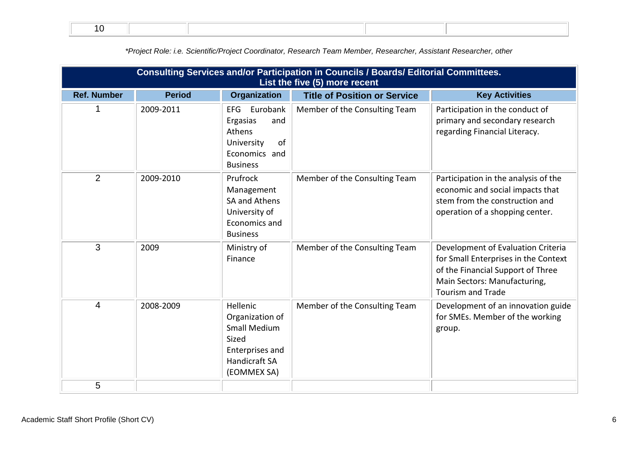|                         | Consulting Services and/or Participation in Councils / Boards/ Editorial Committees.<br>List the five (5) more recent |                                                                                                                              |                                     |                                                                                                                                                                             |  |  |
|-------------------------|-----------------------------------------------------------------------------------------------------------------------|------------------------------------------------------------------------------------------------------------------------------|-------------------------------------|-----------------------------------------------------------------------------------------------------------------------------------------------------------------------------|--|--|
| <b>Ref. Number</b>      | <b>Period</b>                                                                                                         | <b>Organization</b>                                                                                                          | <b>Title of Position or Service</b> | <b>Key Activities</b>                                                                                                                                                       |  |  |
|                         | 2009-2011                                                                                                             | <b>EFG</b><br>Eurobank<br>Ergasias<br>and<br>Athens<br>University<br>of<br>Economics and<br><b>Business</b>                  | Member of the Consulting Team       | Participation in the conduct of<br>primary and secondary research<br>regarding Financial Literacy.                                                                          |  |  |
| $\overline{2}$          | 2009-2010                                                                                                             | Prufrock<br>Management<br>SA and Athens<br>University of<br>Economics and<br><b>Business</b>                                 | Member of the Consulting Team       | Participation in the analysis of the<br>economic and social impacts that<br>stem from the construction and<br>operation of a shopping center.                               |  |  |
| 3                       | 2009                                                                                                                  | Ministry of<br>Finance                                                                                                       | Member of the Consulting Team       | Development of Evaluation Criteria<br>for Small Enterprises in the Context<br>of the Financial Support of Three<br>Main Sectors: Manufacturing,<br><b>Tourism and Trade</b> |  |  |
| $\overline{\mathbf{4}}$ | 2008-2009                                                                                                             | Hellenic<br>Organization of<br><b>Small Medium</b><br>Sized<br><b>Enterprises and</b><br><b>Handicraft SA</b><br>(EOMMEX SA) | Member of the Consulting Team       | Development of an innovation guide<br>for SMEs. Member of the working<br>group.                                                                                             |  |  |
| 5                       |                                                                                                                       |                                                                                                                              |                                     |                                                                                                                                                                             |  |  |

*\*Project Role: i.e. Scientific/Project Coordinator, Research Team Member, Researcher, Assistant Researcher, other*